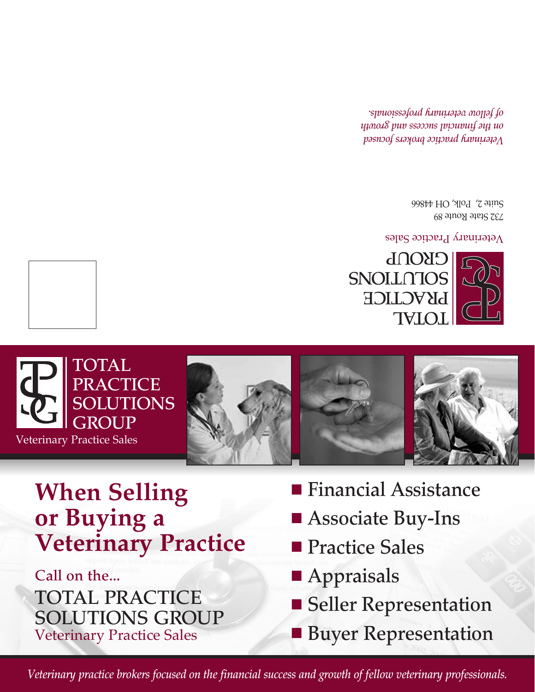Call on the... TOTAL PRACTICE SOLUTIONS GROUP Veterinary Practice Sales

Veterinary Practice

STITTIGHT T

**n** Appraisals

*Veterinary practice brokers focused on the financial success and growth of fellow veterinary professionals.*

- **n** Seller Representation
- **Buyer Representation**
- **n** Practice Sales
- **Financial Assistance** ■ Associate Buy-Ins
- $\sim$ S ION UT ON UT ON UT ON UT ON UT ON UT ON UT ON UT ON UT ON UT ON UT ON UT ON UT ON UT ON UT ON UT ON UT ON UT **P ROU GET**





eterinary Practice Sales <sup>V</sup>

732 State Route 89  $S$ uite  $\Sigma'$  Polk, OH  $44866$ 

*Veterinary practice brokers focused on the financial success and growth of fellow veterinary professionals.*



TOTAL TOTAL

or Buying a